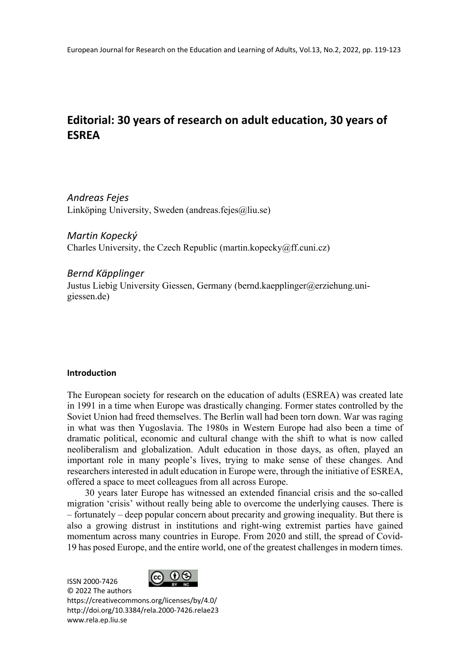# **Editorial: 30 years of research on adult education, 30 years of ESREA**

*Andreas Fejes* Linköping University, Sweden (andreas.fejes@liu.se)

*Martin Kopecký* Charles University, the Czech Republic (martin.kopecky@ff.cuni.cz)

*Bernd Käpplinger* Justus Liebig University Giessen, Germany (bernd.kaepplinger@erziehung.unigiessen.de)

## **Introduction**

The European society for research on the education of adults (ESREA) was created late in 1991 in a time when Europe was drastically changing. Former states controlled by the Soviet Union had freed themselves. The Berlin wall had been torn down. War was raging in what was then Yugoslavia. The 1980s in Western Europe had also been a time of dramatic political, economic and cultural change with the shift to what is now called neoliberalism and globalization. Adult education in those days, as often, played an important role in many people's lives, trying to make sense of these changes. And researchers interested in adult education in Europe were, through the initiative of ESREA, offered a space to meet colleagues from all across Europe.

30 years later Europe has witnessed an extended financial crisis and the so-called migration 'crisis' without really being able to overcome the underlying causes. There is – fortunately – deep popular concern about precarity and growing inequality. But there is also a growing distrust in institutions and right-wing extremist parties have gained momentum across many countries in Europe. From 2020 and still, the spread of Covid-19 has posed Europe, and the entire world, one of the greatest challenges in modern times.

ISSN 2000-7426 © 2022 The authors



https://creativecommons.org/licenses/by/4.0/ http://doi.org/10.3384/rela.2000-7426.relae23 www.rela.ep.liu.se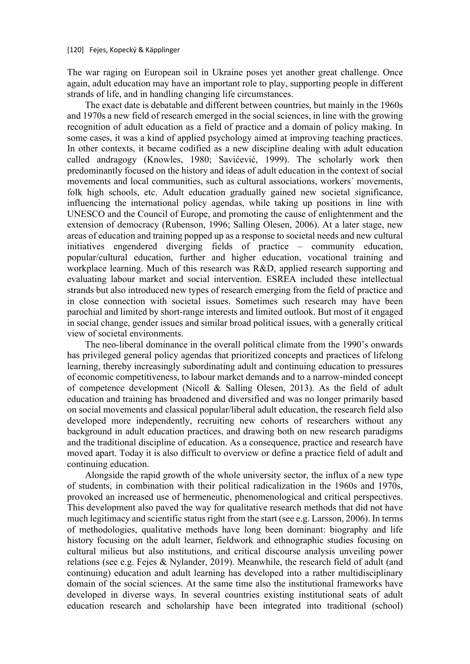The war raging on European soil in Ukraine poses yet another great challenge. Once again, adult education may have an important role to play, supporting people in different strands of life, and in handling changing life circumstances.

The exact date is debatable and different between countries, but mainly in the 1960s and 1970s a new field of research emerged in the social sciences, in line with the growing recognition of adult education as a field of practice and a domain of policy making. In some cases, it was a kind of applied psychology aimed at improving teaching practices. In other contexts, it became codified as a new discipline dealing with adult education called andragogy (Knowles, 1980; Savićević, 1999). The scholarly work then predominantly focused on the history and ideas of adult education in the context of social movements and local communities, such as cultural associations, workers´ movements, folk high schools, etc. Adult education gradually gained new societal significance, influencing the international policy agendas, while taking up positions in line with UNESCO and the Council of Europe, and promoting the cause of enlightenment and the extension of democracy (Rubenson, 1996; Salling Olesen, 2006). At a later stage, new areas of education and training popped up as a response to societal needs and new cultural initiatives engendered diverging fields of practice – community education, popular/cultural education, further and higher education, vocational training and workplace learning. Much of this research was R&D, applied research supporting and evaluating labour market and social intervention. ESREA included these intellectual strands but also introduced new types of research emerging from the field of practice and in close connection with societal issues. Sometimes such research may have been parochial and limited by short-range interests and limited outlook. But most of it engaged in social change, gender issues and similar broad political issues, with a generally critical view of societal environments.

The neo-liberal dominance in the overall political climate from the 1990's onwards has privileged general policy agendas that prioritized concepts and practices of lifelong learning, thereby increasingly subordinating adult and continuing education to pressures of economic competitiveness, to labour market demands and to a narrow-minded concept of competence development (Nicoll & Salling Olesen, 2013). As the field of adult education and training has broadened and diversified and was no longer primarily based on social movements and classical popular/liberal adult education, the research field also developed more independently, recruiting new cohorts of researchers without any background in adult education practices, and drawing both on new research paradigms and the traditional discipline of education. As a consequence, practice and research have moved apart. Today it is also difficult to overview or define a practice field of adult and continuing education.

Alongside the rapid growth of the whole university sector, the influx of a new type of students, in combination with their political radicalization in the 1960s and 1970s, provoked an increased use of hermeneutic, phenomenological and critical perspectives. This development also paved the way for qualitative research methods that did not have much legitimacy and scientific status right from the start (see e.g. Larsson, 2006). In terms of methodologies, qualitative methods have long been dominant: biography and life history focusing on the adult learner, fieldwork and ethnographic studies focusing on cultural milieus but also institutions, and critical discourse analysis unveiling power relations (see e.g. Fejes & Nylander, 2019). Meanwhile, the research field of adult (and continuing) education and adult learning has developed into a rather multidisciplinary domain of the social sciences. At the same time also the institutional frameworks have developed in diverse ways. In several countries existing institutional seats of adult education research and scholarship have been integrated into traditional (school)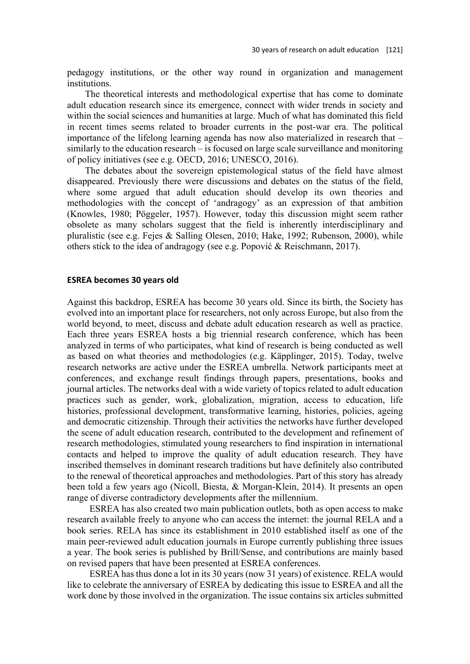pedagogy institutions, or the other way round in organization and management institutions.

The theoretical interests and methodological expertise that has come to dominate adult education research since its emergence, connect with wider trends in society and within the social sciences and humanities at large. Much of what has dominated this field in recent times seems related to broader currents in the post-war era. The political importance of the lifelong learning agenda has now also materialized in research that – similarly to the education research – is focused on large scale surveillance and monitoring of policy initiatives (see e.g. OECD, 2016; UNESCO, 2016).

The debates about the sovereign epistemological status of the field have almost disappeared. Previously there were discussions and debates on the status of the field, where some argued that adult education should develop its own theories and methodologies with the concept of 'andragogy' as an expression of that ambition (Knowles, 1980; Pöggeler, 1957). However, today this discussion might seem rather obsolete as many scholars suggest that the field is inherently interdisciplinary and pluralistic (see e.g. Fejes & Salling Olesen, 2010; Hake, 1992; Rubenson, 2000), while others stick to the idea of andragogy (see e.g. Popović & Reischmann, 2017).

#### **ESREA becomes 30 years old**

Against this backdrop, ESREA has become 30 years old. Since its birth, the Society has evolved into an important place for researchers, not only across Europe, but also from the world beyond, to meet, discuss and debate adult education research as well as practice. Each three years ESREA hosts a big triennial research conference, which has been analyzed in terms of who participates, what kind of research is being conducted as well as based on what theories and methodologies (e.g. Käpplinger, 2015). Today, twelve research networks are active under the ESREA umbrella. Network participants meet at conferences, and exchange result findings through papers, presentations, books and journal articles. The networks deal with a wide variety of topics related to adult education practices such as gender, work, globalization, migration, access to education, life histories, professional development, transformative learning, histories, policies, ageing and democratic citizenship. Through their activities the networks have further developed the scene of adult education research, contributed to the development and refinement of research methodologies, stimulated young researchers to find inspiration in international contacts and helped to improve the quality of adult education research. They have inscribed themselves in dominant research traditions but have definitely also contributed to the renewal of theoretical approaches and methodologies. Part of this story has already been told a few years ago (Nicoll, Biesta, & Morgan-Klein, 2014). It presents an open range of diverse contradictory developments after the millennium.

ESREA has also created two main publication outlets, both as open access to make research available freely to anyone who can access the internet: the journal RELA and a book series. RELA has since its establishment in 2010 established itself as one of the main peer-reviewed adult education journals in Europe currently publishing three issues a year. The book series is published by Brill/Sense, and contributions are mainly based on revised papers that have been presented at ESREA conferences.

ESREA has thus done a lot in its 30 years (now 31 years) of existence. RELA would like to celebrate the anniversary of ESREA by dedicating this issue to ESREA and all the work done by those involved in the organization. The issue contains six articles submitted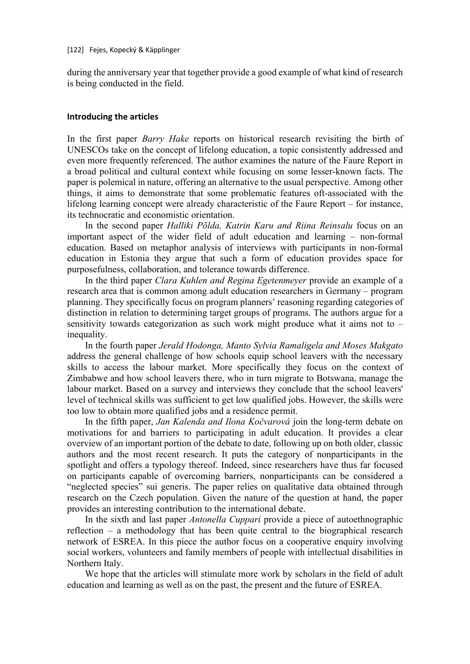during the anniversary year that together provide a good example of what kind of research is being conducted in the field.

## **Introducing the articles**

In the first paper *Barry Hake* reports on historical research revisiting the birth of UNESCOs take on the concept of lifelong education, a topic consistently addressed and even more frequently referenced. The author examines the nature of the Faure Report in a broad political and cultural context while focusing on some lesser-known facts. The paper is polemical in nature, offering an alternative to the usual perspective. Among other things, it aims to demonstrate that some problematic features oft-associated with the lifelong learning concept were already characteristic of the Faure Report – for instance, its technocratic and economistic orientation.

In the second paper *Halliki Põlda, Katrin Karu and Riina Reinsalu* focus on an important aspect of the wider field of adult education and learning – non-formal education. Based on metaphor analysis of interviews with participants in non-formal education in Estonia they argue that such a form of education provides space for purposefulness, collaboration, and tolerance towards difference.

In the third paper *Clara Kuhlen and Regina Egetenmeyer* provide an example of a research area that is common among adult education researchers in Germany – program planning. They specifically focus on program planners' reasoning regarding categories of distinction in relation to determining target groups of programs. The authors argue for a sensitivity towards categorization as such work might produce what it aims not to – inequality.

In the fourth paper *Jerald Hodonga, Manto Sylvia Ramaligela and Moses Makgato* address the general challenge of how schools equip school leavers with the necessary skills to access the labour market. More specifically they focus on the context of Zimbabwe and how school leavers there, who in turn migrate to Botswana, manage the labour market. Based on a survey and interviews they conclude that the school leavers' level of technical skills was sufficient to get low qualified jobs. However, the skills were too low to obtain more qualified jobs and a residence permit.

In the fifth paper, *Jan Kalenda and Ilona Kočvarová* join the long-term debate on motivations for and barriers to participating in adult education. It provides a clear overview of an important portion of the debate to date, following up on both older, classic authors and the most recent research. It puts the category of nonparticipants in the spotlight and offers a typology thereof. Indeed, since researchers have thus far focused on participants capable of overcoming barriers, nonparticipants can be considered a "neglected species" sui generis. The paper relies on qualitative data obtained through research on the Czech population. Given the nature of the question at hand, the paper provides an interesting contribution to the international debate.

In the sixth and last paper *Antonella Cuppari* provide a piece of autoethnographic reflection – a methodology that has been quite central to the biographical research network of ESREA. In this piece the author focus on a cooperative enquiry involving social workers, volunteers and family members of people with intellectual disabilities in Northern Italy.

We hope that the articles will stimulate more work by scholars in the field of adult education and learning as well as on the past, the present and the future of ESREA.